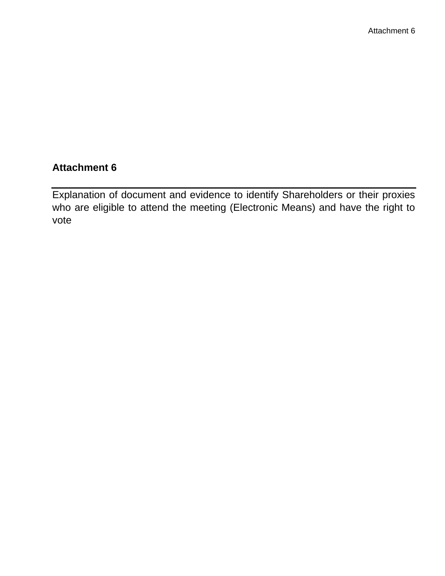# **Attachment 6**

Explanation of document and evidence to identify Shareholders or their proxies who are eligible to attend the meeting (Electronic Means) and have the right to vote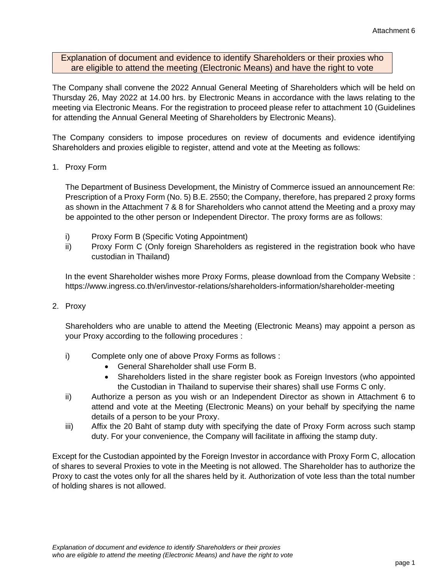Explanation of document and evidence to identify Shareholders or their proxies who are eligible to attend the meeting (Electronic Means) and have the right to vote

The Company shall convene the 2022 Annual General Meeting of Shareholders which will be held on Thursday 26, May 2022 at 14.00 hrs. by Electronic Means in accordance with the laws relating to the meeting via Electronic Means. For the registration to proceed please refer to attachment 10 (Guidelines for attending the Annual General Meeting of Shareholders by Electronic Means).

The Company considers to impose procedures on review of documents and evidence identifying Shareholders and proxies eligible to register, attend and vote at the Meeting as follows:

# 1. Proxy Form

The Department of Business Development, the Ministry of Commerce issued an announcement Re: Prescription of a Proxy Form (No. 5) B.E. 2550; the Company, therefore, has prepared 2 proxy forms as shown in the Attachment 7 & 8 for Shareholders who cannot attend the Meeting and a proxy may be appointed to the other person or Independent Director. The proxy forms are as follows:

- i) Proxy Form B (Specific Voting Appointment)
- ii) Proxy Form C (Only foreign Shareholders as registered in the registration book who have custodian in Thailand)

In the event Shareholder wishes more Proxy Forms, please download from the Company Website : https://www.ingress.co.th/en/investor-relations/shareholders-information/shareholder-meeting

2. Proxy

Shareholders who are unable to attend the Meeting (Electronic Means) may appoint a person as your Proxy according to the following procedures :

- i) Complete only one of above Proxy Forms as follows :
	- General Shareholder shall use Form B.
	- Shareholders listed in the share register book as Foreign Investors (who appointed the Custodian in Thailand to supervise their shares) shall use Forms C only.
- ii) Authorize a person as you wish or an Independent Director as shown in Attachment 6 to attend and vote at the Meeting (Electronic Means) on your behalf by specifying the name details of a person to be your Proxy.
- iii) Affix the 20 Baht of stamp duty with specifying the date of Proxy Form across such stamp duty. For your convenience, the Company will facilitate in affixing the stamp duty.

Except for the Custodian appointed by the Foreign Investor in accordance with Proxy Form C, allocation of shares to several Proxies to vote in the Meeting is not allowed. The Shareholder has to authorize the Proxy to cast the votes only for all the shares held by it. Authorization of vote less than the total number of holding shares is not allowed.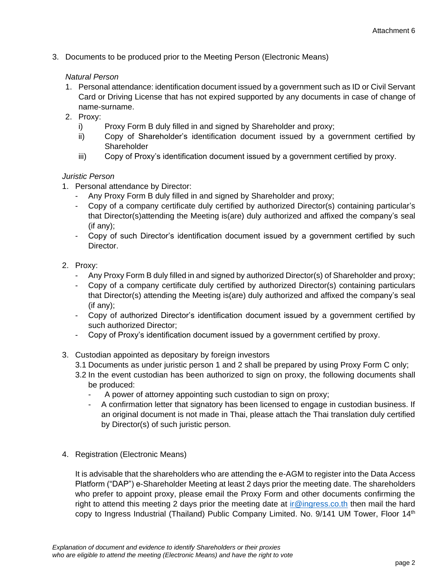3. Documents to be produced prior to the Meeting Person (Electronic Means)

# *Natural Person*

- 1. Personal attendance: identification document issued by a government such as ID or Civil Servant Card or Driving License that has not expired supported by any documents in case of change of name-surname.
- 2. Proxy:
	- i) Proxy Form B duly filled in and signed by Shareholder and proxy;
	- ii) Copy of Shareholder's identification document issued by a government certified by **Shareholder**
	- iii) Copy of Proxy's identification document issued by a government certified by proxy.

# *Juristic Person*

- 1. Personal attendance by Director:
	- Any Proxy Form B duly filled in and signed by Shareholder and proxy;
	- Copy of a company certificate duly certified by authorized Director(s) containing particular's that Director(s)attending the Meeting is(are) duly authorized and affixed the company's seal (if any);
	- Copy of such Director's identification document issued by a government certified by such Director.

# 2. Proxy:

- Any Proxy Form B duly filled in and signed by authorized Director(s) of Shareholder and proxy;
- Copy of a company certificate duly certified by authorized Director(s) containing particulars that Director(s) attending the Meeting is(are) duly authorized and affixed the company's seal (if any);
- Copy of authorized Director's identification document issued by a government certified by such authorized Director;
- Copy of Proxy's identification document issued by a government certified by proxy.
- 3. Custodian appointed as depositary by foreign investors
	- 3.1 Documents as under juristic person 1 and 2 shall be prepared by using Proxy Form C only;
	- 3.2 In the event custodian has been authorized to sign on proxy, the following documents shall be produced:
		- A power of attorney appointing such custodian to sign on proxy;
		- A confirmation letter that signatory has been licensed to engage in custodian business. If an original document is not made in Thai, please attach the Thai translation duly certified by Director(s) of such juristic person.
- 4. Registration (Electronic Means)

It is advisable that the shareholders who are attending the e-AGM to register into the Data Access Platform ("DAP") e-Shareholder Meeting at least 2 days prior the meeting date. The shareholders who prefer to appoint proxy, please email the Proxy Form and other documents confirming the right to attend this meeting 2 days prior the meeting date at *ir@ingress.co.th* then mail the hard copy to Ingress Industrial (Thailand) Public Company Limited. No. 9/141 UM Tower, Floor 14<sup>th</sup>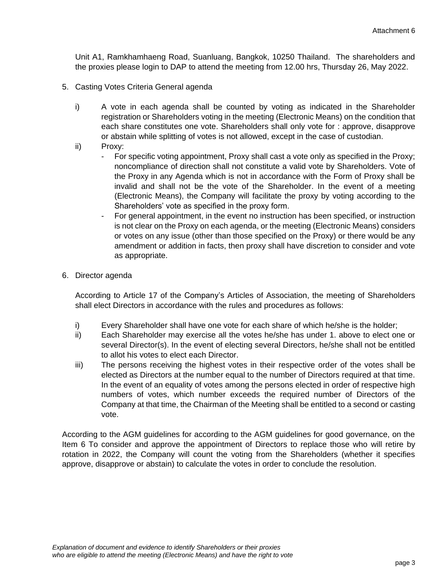Unit A1, Ramkhamhaeng Road, Suanluang, Bangkok, 10250 Thailand. The shareholders and the proxies please login to DAP to attend the meeting from 12.00 hrs, Thursday 26, May 2022.

- 5. Casting Votes Criteria General agenda
	- i) A vote in each agenda shall be counted by voting as indicated in the Shareholder registration or Shareholders voting in the meeting (Electronic Means) on the condition that each share constitutes one vote. Shareholders shall only vote for : approve, disapprove or abstain while splitting of votes is not allowed, except in the case of custodian.
	- ii) Proxy:
		- For specific voting appointment, Proxy shall cast a vote only as specified in the Proxy; noncompliance of direction shall not constitute a valid vote by Shareholders. Vote of the Proxy in any Agenda which is not in accordance with the Form of Proxy shall be invalid and shall not be the vote of the Shareholder. In the event of a meeting (Electronic Means), the Company will facilitate the proxy by voting according to the Shareholders' vote as specified in the proxy form.
		- For general appointment, in the event no instruction has been specified, or instruction is not clear on the Proxy on each agenda, or the meeting (Electronic Means) considers or votes on any issue (other than those specified on the Proxy) or there would be any amendment or addition in facts, then proxy shall have discretion to consider and vote as appropriate.
- 6. Director agenda

According to Article 17 of the Company's Articles of Association, the meeting of Shareholders shall elect Directors in accordance with the rules and procedures as follows:

- i) Every Shareholder shall have one vote for each share of which he/she is the holder;
- ii) Each Shareholder may exercise all the votes he/she has under 1. above to elect one or several Director(s). In the event of electing several Directors, he/she shall not be entitled to allot his votes to elect each Director.
- iii) The persons receiving the highest votes in their respective order of the votes shall be elected as Directors at the number equal to the number of Directors required at that time. In the event of an equality of votes among the persons elected in order of respective high numbers of votes, which number exceeds the required number of Directors of the Company at that time, the Chairman of the Meeting shall be entitled to a second or casting vote.

According to the AGM guidelines for according to the AGM guidelines for good governance, on the Item 6 To consider and approve the appointment of Directors to replace those who will retire by rotation in 2022, the Company will count the voting from the Shareholders (whether it specifies approve, disapprove or abstain) to calculate the votes in order to conclude the resolution.